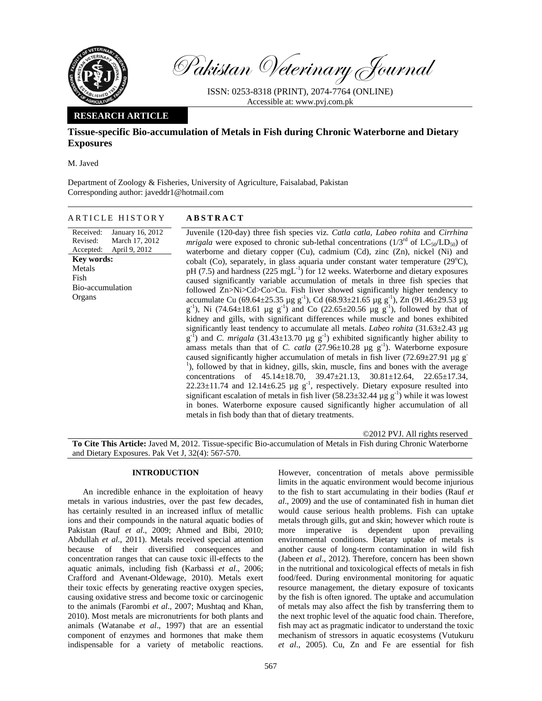

Pakistan Veterinary Journal

ISSN: 0253-8318 (PRINT), 2074-7764 (ONLINE) Accessible at: www.pvj.com.pk

# **RESEARCH ARTICLE**

# **Tissue-specific Bio-accumulation of Metals in Fish during Chronic Waterborne and Dietary Exposures**

M. Javed

Department of Zoology & Fisheries, University of Agriculture, Faisalabad, Pakistan Corresponding author: javeddr1@hotmail.com

## ARTICLE HISTORY **ABSTRACT**

#### Received: Revised: Accepted: January 16, 2012 March 17, 2012 April 9, 2012 **Key words:**  Metals Fish Bio-accumulation Organs

Juvenile (120-day) three fish species viz. *Catla catla, Labeo rohita* and *Cirrhina mrigala* were exposed to chronic sub-lethal concentrations  $(1/3^{rd}$  of  $LC_{50}/LD_{50})$  of waterborne and dietary copper (Cu), cadmium (Cd), zinc (Zn), nickel (Ni) and cobalt (Co), separately, in glass aquaria under constant water temperature  $(29^{\circ}C)$ ,  $pH (7.5)$  and hardness (225 mgL<sup>-1</sup>) for 12 weeks. Waterborne and dietary exposures caused significantly variable accumulation of metals in three fish species that followed Zn>Ni>Cd>Co>Cu. Fish liver showed significantly higher tendency to accumulate Cu (69.64 $\pm$ 25.35 µg g<sup>-1</sup>), Cd (68.93 $\pm$ 21.65 µg g<sup>-1</sup>), Zn (91.46 $\pm$ 29.53 µg  $g^{-1}$ ), Ni (74.64±18.61 µg  $g^{-1}$ ) and Co (22.65±20.56 µg  $g^{-1}$ ), followed by that of kidney and gills, with significant differences while muscle and bones exhibited significantly least tendency to accumulate all metals. *Labeo rohita* (31.63±2.43 µg  $g^{-1}$ ) and *C. mrigala* (31.43 $\pm$ 13.70 µg  $g^{-1}$ ) exhibited significantly higher ability to amass metals than that of *C. catla*  $(27.96\pm10.28 \text{ µg g}^{-1})$ . Waterborne exposure caused significantly higher accumulation of metals in fish liver (72.69 $\pm$ 27.91 µg g<sup>-</sup> <sup>1</sup>), followed by that in kidney, gills, skin, muscle, fins and bones with the average concentrations of 45.14±18.70, 39.47±21.13, 30.81±12.64, 22.65±17.34, 22.23 $\pm$ 11.74 and 12.14 $\pm$ 6.25 µg g<sup>-1</sup>, respectively. Dietary exposure resulted into significant escalation of metals in fish liver  $(58.23\pm32.44 \,\mu g \,g^{-1})$  while it was lowest in bones. Waterborne exposure caused significantly higher accumulation of all metals in fish body than that of dietary treatments.

©2012 PVJ. All rights reserved **To Cite This Article:** Javed M, 2012. Tissue-specific Bio-accumulation of Metals in Fish during Chronic Waterborne and Dietary Exposures. Pak Vet J, 32(4): 567-570.

## **INTRODUCTION**

An incredible enhance in the exploitation of heavy metals in various industries, over the past few decades, has certainly resulted in an increased influx of metallic ions and their compounds in the natural aquatic bodies of Pakistan (Rauf *et al*., 2009; Ahmed and Bibi, 2010; Abdullah *et al*., 2011). Metals received special attention because of their diversified consequences and concentration ranges that can cause toxic ill-effects to the aquatic animals, including fish (Karbassi *et al*., 2006; Crafford and Avenant-Oldewage, 2010). Metals exert their toxic effects by generating reactive oxygen species, causing oxidative stress and become toxic or carcinogenic to the animals (Farombi *et al*., 2007; Mushtaq and Khan, 2010). Most metals are micronutrients for both plants and animals (Watanabe *et al*., 1997) that are an essential component of enzymes and hormones that make them indispensable for a variety of metabolic reactions.

However, concentration of metals above permissible limits in the aquatic environment would become injurious to the fish to start accumulating in their bodies (Rauf *et al*., 2009) and the use of contaminated fish in human diet would cause serious health problems. Fish can uptake metals through gills, gut and skin; however which route is more imperative is dependent upon prevailing environmental conditions. Dietary uptake of metals is another cause of long-term contamination in wild fish (Jabeen *et al*., 2012). Therefore, concern has been shown in the nutritional and toxicological effects of metals in fish food/feed. During environmental monitoring for aquatic resource management, the dietary exposure of toxicants by the fish is often ignored. The uptake and accumulation of metals may also affect the fish by transferring them to the next trophic level of the aquatic food chain. Therefore, fish may act as pragmatic indicator to understand the toxic mechanism of stressors in aquatic ecosystems (Vutukuru *et al*., 2005). Cu, Zn and Fe are essential for fish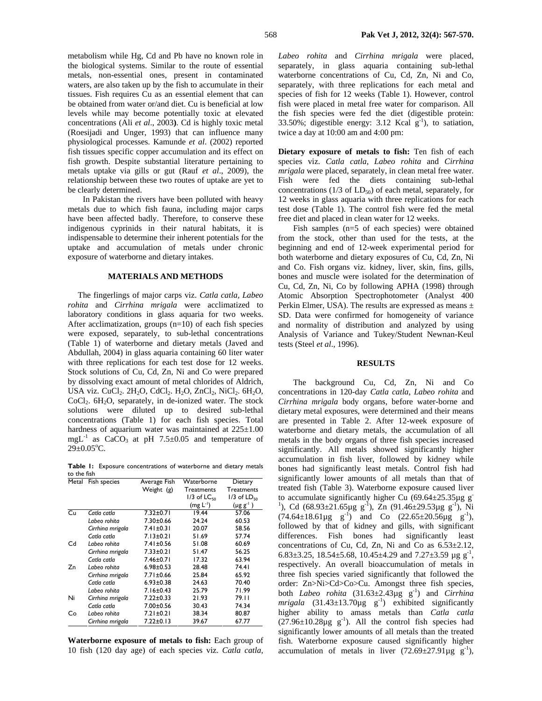the biological systems. Similar to the route of essential metals, non-essential ones, present in contaminated waters, are also taken up by the fish to accumulate in their tissues. Fish requires Cu as an essential element that can be obtained from water or/and diet. Cu is beneficial at low levels while may become potentially toxic at elevated concentrations (Ali *et al*., 2003**)**. Cd is highly toxic metal (Roesijadi and Unger, 1993) that can influence many physiological processes. Kamunde *et al*. (2002) reported fish tissues specific copper accumulation and its effect on fish growth. Despite substantial literature pertaining to metals uptake via gills or gut (Rauf *et al*., 2009), the relationship between these two routes of uptake are yet to be clearly determined.

In Pakistan the rivers have been polluted with heavy metals due to which fish fauna, including major carps have been affected badly. Therefore, to conserve these indigenous cyprinids in their natural habitats, it is indispensable to determine their inherent potentials for the uptake and accumulation of metals under chronic exposure of waterborne and dietary intakes.

### **MATERIALS AND METHODS**

The fingerlings of major carps viz. *Catla catla, Labeo rohita* and *Cirrhina mrigala* were acclimatized to laboratory conditions in glass aquaria for two weeks. After acclimatization, groups (n=10) of each fish species were exposed, separately, to sub-lethal concentrations (Table 1) of waterborne and dietary metals (Javed and Abdullah, 2004) in glass aquaria containing 60 liter water with three replications for each test dose for 12 weeks. Stock solutions of Cu, Cd, Zn, Ni and Co were prepared by dissolving exact amount of metal chlorides of Aldrich, USA viz. CuCl<sub>2</sub>.  $2H_2O$ , CdCl<sub>2</sub>.  $H_2O$ , ZnCl<sub>2</sub>, NiCl<sub>2</sub>.  $6H_2O$ ,  $CoCl<sub>2</sub>$ . 6H<sub>2</sub>O, separately, in de-ionized water. The stock solutions were diluted up to desired sub-lethal concentrations (Table 1) for each fish species. Total hardness of aquarium water was maintained at  $225\pm1.00$ mgL<sup>-1</sup> as CaCO<sub>3</sub> at pH 7.5 $\pm$ 0.05 and temperature of  $29 \pm 0.05$ °C.

**Table 1:** Exposure concentrations of waterborne and dietary metals to the fish

|    | Metal Fish species | Average Fish    | Waterborne                | Dietary            |  |
|----|--------------------|-----------------|---------------------------|--------------------|--|
|    |                    | Weight (g)      | Treatments                | <b>Treatments</b>  |  |
|    |                    |                 | $1/3$ of LC <sub>50</sub> | $1/3$ of $LD_{50}$ |  |
|    |                    |                 | $(mg L-1)$                | $(\mu g g^{-1})$   |  |
| Cu | Catla catla        | $7.32 \pm 0.71$ | 19.44                     | 57.06              |  |
|    | Labeo rohita       | $7.30 \pm 0.66$ | 24.24                     | 60.53              |  |
|    | Cirrhina mrigala   | $7.41 \pm 0.31$ | 20.07                     | 58.56              |  |
|    | Catla catla        | $7.13 \pm 0.21$ | 51.69                     | 57.74              |  |
| Cd | Labeo rohita       | 7.41±0.56       | 51.08                     | 60.69              |  |
|    | Cirrhina mrigala   | 7.33±0.21       | 51.47                     | 56.25              |  |
|    | Catla catla        | 7.46±0.71       | 17.32                     | 63.94              |  |
| Zn | Labeo rohita       | $6.98 \pm 0.53$ | 28.48                     | 74.41              |  |
|    | Cirrhina mrigala   | 7.71±0.66       | 25.84                     | 65.92              |  |
|    | Catla catla        | $6.93 \pm 0.38$ | 24.63                     | 70.40              |  |
|    | Labeo rohita       | 7.16±0.43       | 25.79                     | 71.99              |  |
| Ni | Cirrhina mrigala   | $7.22 \pm 0.33$ | 21.93                     | 79.II              |  |
|    | Catla catla        | $7.00 \pm 0.56$ | 30.43                     | 74.34              |  |
| Co | Labeo rohita       | $7.21 \pm 0.21$ | 38.34                     | 80.87              |  |
|    | Cirrhina mrigala   | 7.22±0.13       | 39.67                     | 67.77              |  |

**Waterborne exposure of metals to fish:** Each group of 10 fish (120 day age) of each species viz. *Catla catla,* 

*Labeo rohita* and *Cirrhina mrigala* were placed, separately, in glass aquaria containing sub-lethal waterborne concentrations of Cu, Cd, Zn, Ni and Co, separately, with three replications for each metal and species of fish for 12 weeks (Table 1). However, control fish were placed in metal free water for comparison. All the fish species were fed the diet (digestible protein: 33.50%; digestible energy: 3.12 Kcal  $g^{-1}$ ), to satiation, twice a day at 10:00 am and 4:00 pm:

**Dietary exposure of metals to fish:** Ten fish of each species viz. *Catla catla, Labeo rohita* and *Cirrhina mrigala* were placed, separately, in clean metal free water. Fish were fed the diets containing sub-lethal concentrations  $(1/3$  of  $LD_{50})$  of each metal, separately, for 12 weeks in glass aquaria with three replications for each test dose (Table 1). The control fish were fed the metal free diet and placed in clean water for 12 weeks.

Fish samples (n=5 of each species) were obtained from the stock, other than used for the tests, at the beginning and end of 12-week experimental period for both waterborne and dietary exposures of Cu, Cd, Zn, Ni and Co. Fish organs viz. kidney, liver, skin, fins, gills, bones and muscle were isolated for the determination of Cu, Cd, Zn, Ni, Co by following APHA (1998) through Atomic Absorption Spectrophotometer (Analyst 400 Perkin Elmer, USA). The results are expressed as means  $\pm$ SD. Data were confirmed for homogeneity of variance and normality of distribution and analyzed by using Analysis of Variance and Tukey/Student Newnan-Keul tests (Steel *et al*., 1996).

#### **RESULTS**

The background Cu, Cd, Zn, Ni and Co concentrations in 120-day *Catla catla*, *Labeo rohita* and *Cirrhina mrigala* body organs, before water-borne and dietary metal exposures, were determined and their means are presented in Table 2. After 12-week exposure of waterborne and dietary metals, the accumulation of all metals in the body organs of three fish species increased significantly. All metals showed significantly higher accumulation in fish liver, followed by kidney while bones had significantly least metals. Control fish had significantly lower amounts of all metals than that of treated fish (Table 3). Waterborne exposure caused liver to accumulate significantly higher Cu  $(69.64 \pm 25.35 \mu g g^{-1})$ <sup>1</sup>), Cd (68.93 $\pm$ 21.65 $\mu$ g g<sup>-1</sup>), Zn (91.46 $\pm$ 29.53 $\mu$ g g<sup>-1</sup>), Ni  $(74.64 \pm 18.61 \mu g g^{-1})$  and Co  $(22.65 \pm 20.56 \mu g g^{-1})$ , followed by that of kidney and gills, with significant differences. Fish bones had significantly least concentrations of Cu, Cd, Zn, Ni and Co as 6.53±2.12, 6.83 $\pm$ 3.25, 18.54 $\pm$ 5.68, 10.45 $\pm$ 4.29 and 7.27 $\pm$ 3.59 µg g<sup>-1</sup>, respectively. An overall bioaccumulation of metals in three fish species varied significantly that followed the order: Zn>Ni>Cd>Co>Cu. Amongst three fish species, both *Labeo rohita*  $(31.63 \pm 2.43 \mu g g^{-1})$  and *Cirrhina*  $mrigala$   $(31.43\pm13.70\mu g g^{-1})$  exhibited significantly higher ability to amass metals than *Catla catla*   $(27.96\pm10.28\mu\text{g g}^{-1})$ . All the control fish species had significantly lower amounts of all metals than the treated fish. Waterborne exposure caused significantly higher accumulation of metals in liver  $(72.69 \pm 27.91 \mu g g^{-1})$ ,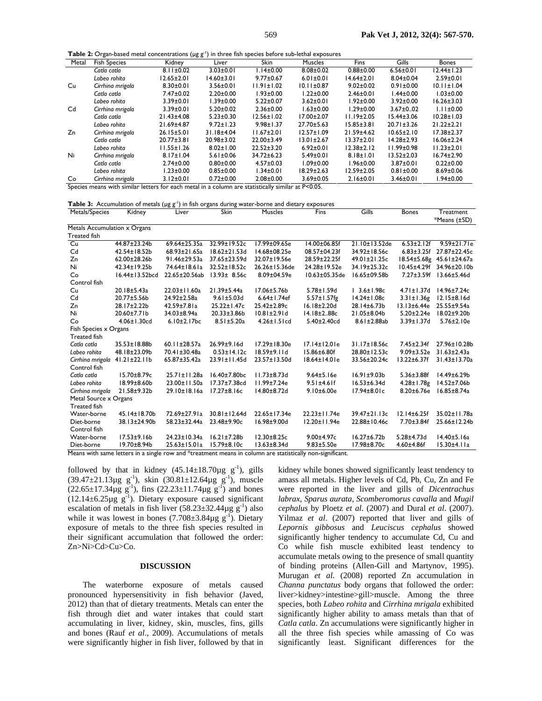**Table 2:** Organ-based metal concentrations (µg g<sup>-1</sup>) in three fish species before sub-lethal exposures

| Metal          | <b>Fish Species</b>                                                                                | Kidney           | Liver            | <b>Skin</b>      | <b>Muscles</b>   | Fins             | Gills            | <b>Bones</b>     |
|----------------|----------------------------------------------------------------------------------------------------|------------------|------------------|------------------|------------------|------------------|------------------|------------------|
|                | Catla catla                                                                                        | $8.11 \pm 0.02$  | $3.03 \pm 0.01$  | $1.14 \pm 0.00$  | $8.08 \pm 0.02$  | $0.88 + 0.00$    | $6.56 \pm 0.01$  | $12.44 \pm 1.23$ |
|                | Labeo rohita                                                                                       | $12.65 \pm 2.01$ | $14.60 \pm 3.01$ | $9.77 \pm 0.67$  | $6.01 \pm 0.01$  | $14.64 \pm 2.01$ | $8.04 \pm 0.04$  | $2.59 \pm 0.01$  |
| Cu             | Cirrhina mrigala                                                                                   | $8.30 \pm 0.01$  | $3.56 \pm 0.01$  | $11.91 \pm 1.02$ | $10.11 \pm 0.87$ | $9.02 \pm 0.02$  | $0.91 \pm 0.00$  | $10.11 \pm 1.04$ |
|                | Catla catla                                                                                        | 7.47±0.02        | $2.20 \pm 0.00$  | $1.93 \pm 0.00$  | $1.22 \pm 0.00$  | $2.46 \pm 0.01$  | $1.44 \pm 0.00$  | $1.03 \pm 0.00$  |
|                | Labeo rohita                                                                                       | $3.39 \pm 0.01$  | 1.39±0.00        | $5.22 \pm 0.07$  | $3.62 \pm 0.01$  | l.92±0.00        | $3.92 \pm 0.00$  | $16.26 \pm 3.03$ |
| C <sub>d</sub> | Cirrhina mrigala                                                                                   | $3.39 \pm 0.01$  | $5.20 \pm 0.02$  | $2.36 \pm 0.00$  | $1.63 \pm 0.00$  | $1.29 \pm 0.00$  | $3.67 \pm 0.02$  | $1.11 \pm 0.00$  |
|                | Catla catla                                                                                        | $21.43 \pm 4.08$ | $5.23 \pm 0.30$  | $12.56 \pm 1.02$ | $17.00 \pm 2.07$ | $11.19 \pm 2.05$ | $15.44 \pm 3.06$ | $10.28 \pm 1.03$ |
|                | Labeo rohita                                                                                       | 21.69±4.87       | $9.72 \pm 1.23$  | $9.98 \pm 1.37$  | 27.70±5.63       | $15.85 \pm 3.81$ | $20.71 \pm 3.26$ | $21.22 \pm 2.21$ |
| Zn             | Cirrhina mrigala                                                                                   | $26.15 \pm 5.01$ | 31.18±4.04       | $11.67 \pm 2.01$ | $12.57 \pm 1.09$ | 21.59±4.62       | $10.65 \pm 2.10$ | $17.38 \pm 2.37$ |
|                | Catla catla                                                                                        | $20.77 \pm 3.81$ | 20.98±3.02       | 22.00±3.49       | $13.01 \pm 2.67$ | $13.37 \pm 2.01$ | $14.28 \pm 2.93$ | $16.06 \pm 2.24$ |
|                | Labeo rohita                                                                                       | $11.55 \pm 1.26$ | $8.02 \pm 1.00$  | $22.52 \pm 3.20$ | $6.92 \pm 0.01$  | $12.38 \pm 2.12$ | $11.99 \pm 0.98$ | $11.23 \pm 2.01$ |
| Ni             | Cirrhina mrigala                                                                                   | $8.17 \pm 1.04$  | $5.61 \pm 0.06$  | 34.72±6.23       | $5.49 \pm 0.01$  | $8.18 \pm 1.01$  | $13.52 \pm 2.03$ | $16.74 \pm 2.90$ |
|                | Catla catla                                                                                        | $2.74 \pm 0.00$  | $0.80 \pm 0.00$  | $4.57 \pm 0.03$  | $1.09 \pm 0.00$  | 1.96±0.00        | $3.87 \pm 0.01$  | $0.22 \pm 0.00$  |
|                | Labeo rohita                                                                                       | $1.23 \pm 0.00$  | $0.85 \pm 0.00$  | $1.34 \pm 0.01$  | $18.29 \pm 2.63$ | $12.59 \pm 2.05$ | $0.81 \pm 0.00$  | $8.69 \pm 0.06$  |
| Co             | Cirrhina mrigala                                                                                   | $3.12 \pm 0.01$  | $0.72 \pm 0.00$  | $2.08 + 0.00$    | $3.69 \pm 0.05$  | $2.16 \pm 0.01$  | $3.46 \pm 0.01$  | 1.94±0.00        |
|                | Species means with similar letters for each metal in a column are statistically similar at P<0.05. |                  |                  |                  |                  |                  |                  |                  |

**Table 3:** Accumulation of metals (µg g<sup>-1</sup>) in fish organs during water-borne and dietary exposures

| Metals/Species               | Kidney             | Liver              | Skin                | <b>Muscles</b>     | Fins                                                                                                      | Gills              | <b>Bones</b>      | Treatment                |
|------------------------------|--------------------|--------------------|---------------------|--------------------|-----------------------------------------------------------------------------------------------------------|--------------------|-------------------|--------------------------|
|                              |                    |                    |                     |                    |                                                                                                           |                    |                   | *Means (±SD)             |
| Metals Accumulation x Organs |                    |                    |                     |                    |                                                                                                           |                    |                   |                          |
| <b>Treated fish</b>          |                    |                    |                     |                    |                                                                                                           |                    |                   |                          |
| Cu                           | 44.87±23.24b       | 69.64±25.35a       | 32.99±19.52c        | 17.99±09.65e       | 14.00±06.85f                                                                                              | 21.10±13.52de      | $6.53 \pm 2.12f$  | $9.59 \pm 21.7$ le       |
| Cd                           | 42.54±18.52b       | 68.93±21.65a       | $18.62 \pm 21.53$ d | 14.68±08.25e       | 08.57±04.23f                                                                                              | 34.92±18.56c       | $6.83 \pm 3.25f$  | 27.87±22.45c             |
| Zn                           | 62.00±28.26b       | 91.46±29.53a       | 37.65±23.59d        | 32.07±19.56e       | 28.59±22.25f                                                                                              | 49.01±21.25c       |                   | 18.54±5.68g 45.61±24.67a |
| Ni                           | 42.34±19.25b       | 74.64±18.61a       | 32.52±18.52c        | 26.26±15.36de      | 24.28±19.52e                                                                                              | 34.19±25.32c       | $10.45 \pm 4.29f$ | 34.96±20.10b             |
| Co                           | 16.44±13.52bcd     | 22.65±20.56ab      | $13.93 \pm 8.56c$   | 8.09±04.59e        | 10.63±05.35de                                                                                             | 16.65±09.58b       | $7.27 \pm 3.59$ f | $13.66 \pm 5.46$ d       |
| Control fish                 |                    |                    |                     |                    |                                                                                                           |                    |                   |                          |
| Cu                           | 20.18±5.43a        | 22.03±11.60a       | 21.39±5.44a         | 17.06±5.76b        | $5.78 \pm 1.59$ d                                                                                         | $13.6 \pm 1.98c$   | $4.71 \pm 1.37$ d | 14.96±7.24c              |
| Cd                           | 20.77±5.56b        | 24.92±2.58a        | $9.61 \pm 5.03$ d   | $6.64 \pm 1.74$ ef | $5.57 \pm 1.57$ fg                                                                                        | 14.24±1.08c        | $3.31 \pm 1.36g$  | $12.15 \pm 8.16$ d       |
| Zn                           | 28.17±2.22b        | 42.59±7.81a        | 25.22±1.47c         | 25.42±2.89c        | $16.18 \pm 2.20$ d                                                                                        | 28.14±6.73b        | $13.13 \pm 6.44e$ | 25.55±9.54a              |
| Ni                           | 20.60±7.71b        | 34.03±8.94a        | $20.33 \pm 3.86 b$  | $10.81 \pm 2.91 d$ | 14.18±288c                                                                                                | 21.05±8.04b        | $5.20 \pm 2.24e$  | 18.02±9.20b              |
| Co                           | $4.06 \pm 1.30$ cd | $6.10 \pm 2.17$ bc | $8.51 \pm 5.20a$    | $4.26 \pm 1.5$ lcd | 5.40±2.40cd                                                                                               | $8.61 \pm 2.88$ ab | 3.39±1.37d        | 5.76±2.10e               |
| Fish Species x Organs        |                    |                    |                     |                    |                                                                                                           |                    |                   |                          |
| <b>Treated fish</b>          |                    |                    |                     |                    |                                                                                                           |                    |                   |                          |
| Catla catla                  | 35.53±18.88b       | 60.11±28.57a       | 26.99±9.16d         | 17.29±18.30e       | 17.14±12.01e                                                                                              | 31.17±18.56c       | $7.45 \pm 2.34f$  | 27.96±10.28b             |
| Labeo rohita                 | 48.18±23.09b       | 70.41±30.48a       | $0.53 \pm 14.12c$   | $18.59 \pm 9.11$ d | 15.86±6.80f                                                                                               | 28.80±12.53c       | $9.09 \pm 3.52e$  | $31.63 \pm 2.43a$        |
| Cirrhina mrigala             | $41.21 \pm 22.11b$ | 65.87±35.42a       | 23.91±11.45d        | 23.57±13.50d       | 18.64±14.01e                                                                                              | 33.56±20.24c       | $13.22 \pm 6.37f$ | 31.43±13.70a             |
| Control fish                 |                    |                    |                     |                    |                                                                                                           |                    |                   |                          |
| Catla catla                  | 15.70±8.79c        | 25.71±11.28a       | 16.40±7.80bc        | $11.73 \pm 8.73$ d | $9.64 \pm 5.16e$                                                                                          | $16.91 \pm 9.03b$  | $5.36 \pm 3.88$ f | 14.49±6.29b              |
| Labeo rohita                 | 18.99±8.60b        | 23.00±11.50a       | 17.37±7.38cd        | $11.99 \pm 7.24e$  | $9.51 \pm 4.61$ f                                                                                         | 16.53±6.34d        | $4.28 \pm 1.78$ g | 14.52±7.06b              |
| Cirrhina mrigala             | 21.58±9.32b        | 29.10±18.16a       | $17.27 \pm 8.16c$   | 14.80±8.72d        | 9.10±6.00e                                                                                                | 17.94±8.01c        | $8.20 \pm 6.76e$  | $16.85 \pm 8.74a$        |
| Metal Source x Organs        |                    |                    |                     |                    |                                                                                                           |                    |                   |                          |
| <b>Treated fish</b>          |                    |                    |                     |                    |                                                                                                           |                    |                   |                          |
| Water-borne                  | 45.14±18.70b       | 72.69±27.91a       | 30.81±12.64d        | 22.65±17.34e       | 22.23±11.74e                                                                                              | 39.47±21.13c       | $12.14 \pm 6.25f$ | 35.02±11.78a             |
| Diet-borne                   | 38.13±24.90b       | 58.23±32.44a       | 23.48±9.90c         | 16.98±9.00d        | 12.20±11.94e                                                                                              | 22.88±10.46c       | 7.70±3.84f        | 25.66±12.24b             |
| Control fish                 |                    |                    |                     |                    |                                                                                                           |                    |                   |                          |
| Water-borne                  | $17.53 \pm 9.16b$  | 24.23±10.34a       | $16.21 \pm 7.28b$   | 12.30±8.25c        | $9.00 \pm 4.97$ c                                                                                         | $16.27 \pm 6.72b$  | $5.28 + 4.73d$    | 14.40±5.16a              |
| Diet-borne                   | 19.70±8.94b        | $25.63 \pm 15.01a$ | 15.79±8.10c         | 13.63±8.34d        | $9.83 \pm 5.50e$                                                                                          | 17.98±8.70c        | $4.60 + 4.86f$    | 15.30±4.11a              |
|                              |                    |                    |                     |                    | Means with same letters in a single row and *treatment means in column are statistically non-significant. |                    |                   |                          |

followed by that in kidney  $(45.14 \pm 18.70 \mu g g^{-1})$ , gills  $(39.47 \pm 21.13 \mu g g^{-1})$ , skin  $(30.81 \pm 12.64 \mu g g^{-1})$ , muscle  $(22.65 \pm 17.34 \mu g g^{-1})$ , fins  $(22.23 \pm 11.74 \mu g g^{-1})$  and bones  $(12.14 \pm 6.25 \mu g g^{-1})$ . Dietary exposure caused significant escalation of metals in fish liver  $(58.23\pm32.44\mu g g^{-1})$  also while it was lowest in bones  $(7.708\pm3.84\mu g g^{-1})$ . Dietary exposure of metals to the three fish species resulted in their significant accumulation that followed the order: Zn>Ni>Cd>Cu>Co.

# **DISCUSSION**

The waterborne exposure of metals caused pronounced hypersensitivity in fish behavior (Javed, 2012) than that of dietary treatments. Metals can enter the fish through diet and water intakes that could start accumulating in liver, kidney, skin, muscles, fins, gills and bones (Rauf *et al*., 2009). Accumulations of metals were significantly higher in fish liver, followed by that in

kidney while bones showed significantly least tendency to amass all metals. Higher levels of Cd, Pb, Cu, Zn and Fe were reported in the liver and gills of *Dicentrachus labrax, Sparus aurata, Scomberomorus cavalla* and *Mugil cephalus* by Ploetz *et al*. (2007) and Dural *et al*. (2007). Yilmaz *et al*. (2007) reported that liver and gills of *Lepornis gibbosus* and *Leuciscus cephalus* showed significantly higher tendency to accumulate Cd, Cu and Co while fish muscle exhibited least tendency to accumulate metals owing to the presence of small quantity of binding proteins (Allen-Gill and Martynov, 1995). Murugan *et al.* (2008) reported Zn accumulation in *Channa punctatus* body organs that followed the order: liver>kidney>intestine>gill>muscle. Among the three species, both *Labeo rohita* and *Cirrhina mrigala* exhibited significantly higher ability to amass metals than that of *Catla catla*. Zn accumulations were significantly higher in all the three fish species while amassing of Co was significantly least. Significant differences for the